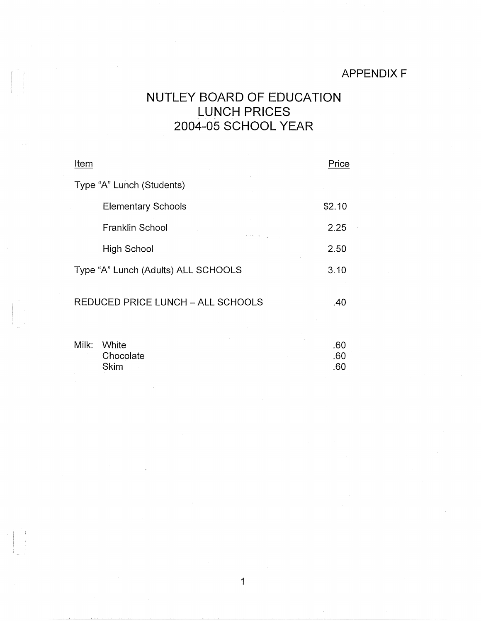## APPENDIX F

## NUTLEY BOARD OF EDUCATION LUNCH PRICES 2004-05 SCHOOL YEAR

| Item                                | Price  |
|-------------------------------------|--------|
| Type "A" Lunch (Students)           |        |
| <b>Elementary Schools</b>           | \$2.10 |
| Franklin School                     | 2.25   |
| High School                         | 2.50   |
| Type "A" Lunch (Adults) ALL SCHOOLS | 3.10   |
| REDUCED PRICE LUNCH - ALL SCHOOLS   | .40    |

| Milk: White | -60 |
|-------------|-----|
| Chocolate   | .60 |
| Skim        | .60 |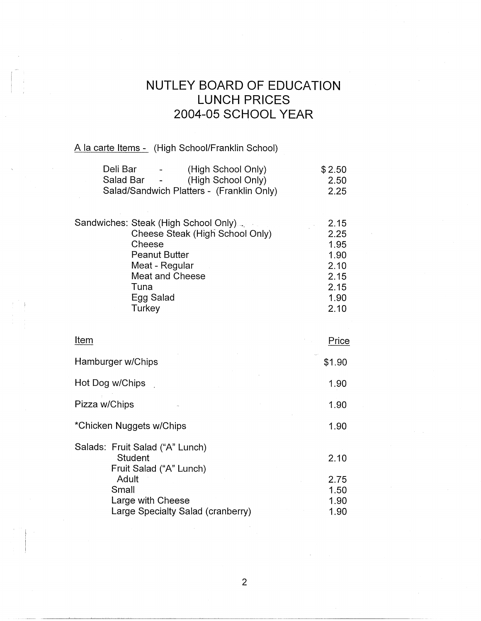## **NUTLEY BOARD OF EDUCATION LUNCH PRICES 2004-05 SCHOOL YEAR**

2.10

## A la carte Items - (High School/Franklin School)

**Turkey** 

I I 1 '

| Deli Bar<br>(High School Only)            | \$2.50 |
|-------------------------------------------|--------|
| (High School Only)<br>Salad Bar -         | 2.50   |
| Salad/Sandwich Platters - (Franklin Only) | 2.25   |
|                                           |        |
| Sandwiches: Steak (High School Only)      | 2.15   |
| Cheese Steak (High School Only)           | 2.25   |
| Cheese                                    | 1.95   |
| <b>Peanut Butter</b>                      | 1.90   |
| Meat - Regular                            | 2.10   |
| Meat and Cheese                           | 2.15   |
| Tuna                                      | 2.15   |
| Egg Salad                                 | 1.90   |

| Item                                                                     | Price                        |
|--------------------------------------------------------------------------|------------------------------|
| Hamburger w/Chips                                                        | \$1.90                       |
| Hot Dog w/Chips                                                          | 1.90                         |
| Pizza w/Chips                                                            | 1.90                         |
| *Chicken Nuggets w/Chips                                                 | 1.90                         |
| Salads: Fruit Salad ("A" Lunch)<br>Student<br>Fruit Salad ("A" Lunch)    | 2.10                         |
| Adult<br>Small<br>Large with Cheese<br>Large Specialty Salad (cranberry) | 2.75<br>1.50<br>1.90<br>1.90 |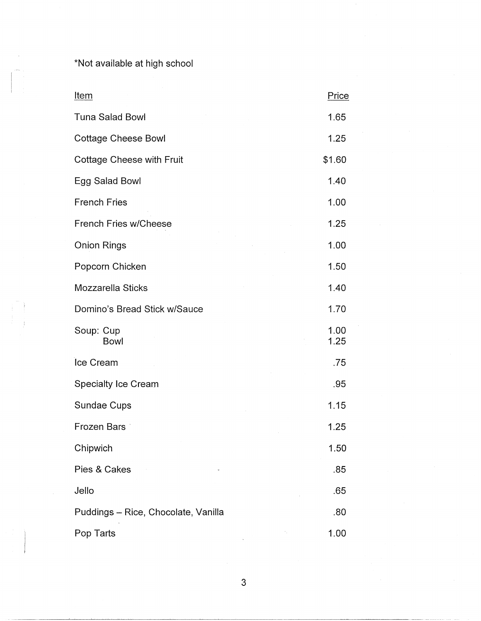\*Not available at high school

--~~~~~~---~-~-~----------------------------

| Item                                | Price        |
|-------------------------------------|--------------|
| <b>Tuna Salad Bowl</b>              | 1.65         |
| <b>Cottage Cheese Bowl</b>          | 1.25         |
| <b>Cottage Cheese with Fruit</b>    | \$1.60       |
| Egg Salad Bowl                      | 1.40         |
| <b>French Fries</b>                 | 1.00         |
| <b>French Fries w/Cheese</b>        | 1.25         |
| <b>Onion Rings</b>                  | 1.00         |
| Popcorn Chicken                     | 1.50         |
| Mozzarella Sticks                   | 1.40         |
| Domino's Bread Stick w/Sauce        | 1.70         |
| Soup: Cup<br><b>Bowl</b>            | 1.00<br>1.25 |
| Ice Cream                           | .75          |
| <b>Specialty Ice Cream</b>          | .95          |
| Sundae Cups                         | 1.15         |
| <b>Frozen Bars</b>                  | 1.25         |
| Chipwich                            | 1.50         |
| Pies & Cakes                        | .85          |
| Jello                               | .65          |
| Puddings - Rice, Chocolate, Vanilla | .80          |
| Pop Tarts                           | 1.00         |

3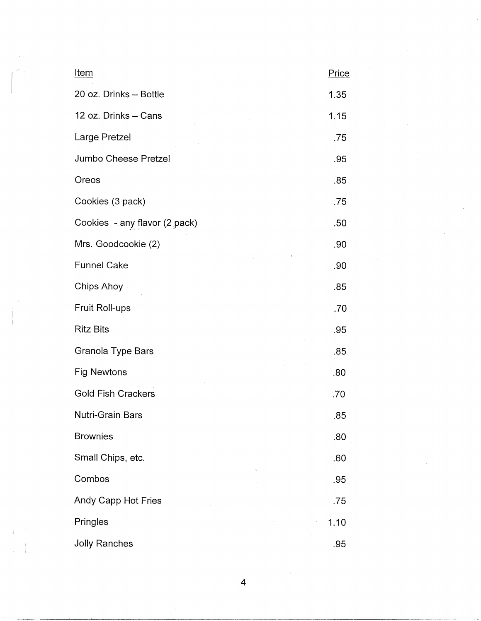| <b>Item</b>                   | Price |
|-------------------------------|-------|
| 20 oz. Drinks - Bottle        | 1.35  |
| 12 oz. Drinks - Cans          | 1.15  |
| Large Pretzel                 | .75   |
| Jumbo Cheese Pretzel          | .95   |
| Oreos                         | .85   |
| Cookies (3 pack)              | .75   |
| Cookies - any flavor (2 pack) | .50   |
| Mrs. Goodcookie (2)           | .90   |
| <b>Funnel Cake</b>            | .90   |
| Chips Ahoy                    | .85   |
| Fruit Roll-ups                | .70   |
| <b>Ritz Bits</b>              | .95   |
| Granola Type Bars             | .85   |
| <b>Fig Newtons</b>            | .80   |
| <b>Gold Fish Crackers</b>     | .70   |
| Nutri-Grain Bars              | .85   |
| <b>Brownies</b>               | .80   |
| Small Chips, etc.             | .60   |
| Combos                        | .95   |
| Andy Capp Hot Fries           | .75   |
| Pringles                      | 1.10  |
| <b>Jolly Ranches</b>          | .95   |

4

 $\bar{4}$ 

 $\hat{\mathcal{L}}$